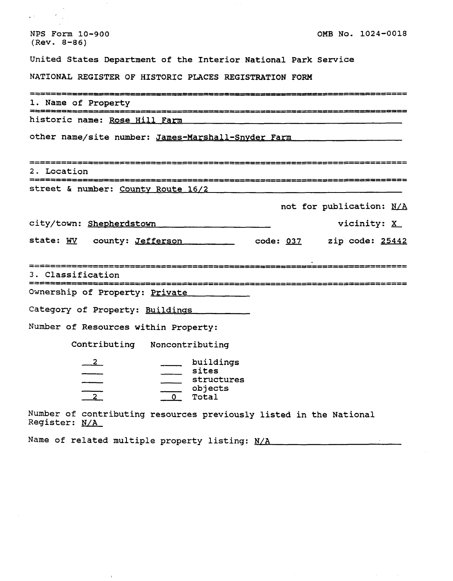| NPS Form 10-900<br>$(Rev. 8-86)$                                                                        | OMB No. 1024-0018        |               |  |
|---------------------------------------------------------------------------------------------------------|--------------------------|---------------|--|
| United States Department of the Interior National Park Service                                          |                          |               |  |
| NATIONAL REGISTER OF HISTORIC PLACES REGISTRATION FORM                                                  |                          |               |  |
| 1. Name of Property<br>2280220222222222222                                                              | ------------------------ |               |  |
| historic name: Rose Hill Farm                                                                           |                          |               |  |
| other name/site number: James-Marshall-Snyder Farm                                                      |                          |               |  |
| ====================<br>2. Location                                                                     |                          |               |  |
| street & number: County Route 16/2                                                                      |                          |               |  |
|                                                                                                         | not for publication: N/A |               |  |
| city/town: Shepherdstown                                                                                |                          | vicinity: $X$ |  |
| state: WV county: Jefferson                                                                             | zip code: <u>25442</u>   |               |  |
| 3. Classification                                                                                       |                          |               |  |
| Ownership of Property: Private                                                                          |                          |               |  |
| Category of Property: Buildings                                                                         |                          |               |  |
| Number of Resources within Property:                                                                    |                          |               |  |
| Contributing Noncontributing                                                                            |                          |               |  |
| buildings<br>$\overline{2}$<br>sites<br>structures<br>$\frac{2}{2}$<br>objects<br>$\mathbf{O}$<br>Total |                          |               |  |
| Number of contributing resources previously listed in the National                                      |                          |               |  |

Register: N/A

 $\overline{1}$ 

 $\mathcal{L}(\mathcal{A})$  .

 $\gamma=1$ 

Name of related multiple property listing: **N/A** J.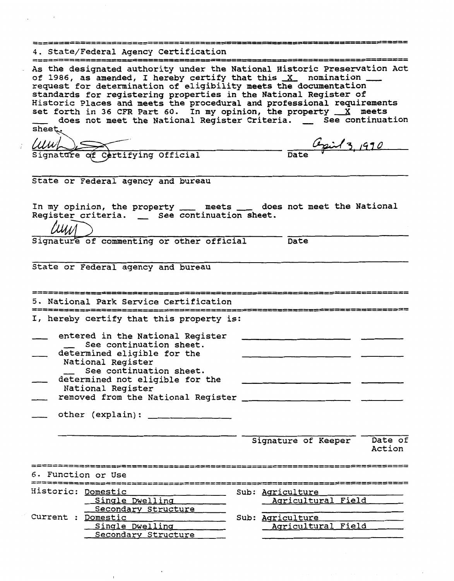|                    | 4. State/Federal Agency Certification                                                                                                                                                                                                                                                                                                                                                                                                                                                                                                           |                                                                  |                   |
|--------------------|-------------------------------------------------------------------------------------------------------------------------------------------------------------------------------------------------------------------------------------------------------------------------------------------------------------------------------------------------------------------------------------------------------------------------------------------------------------------------------------------------------------------------------------------------|------------------------------------------------------------------|-------------------|
| sheet.             | As the designated authority under the National Historic Preservation Act<br>of 1986, as amended, I hereby certify that this X nomination __<br>request for determination of eligibility meets the documentation<br>standards for registering properties in the National Register of<br>Historic Places and meets the procedural and professional requirements<br>set forth in 36 CFR Part 60. In my opinion, the property $X$ meets<br>does not meet the National Register Criteria. _ See continuation<br>WWW Signature of Certifying Official | 1000000000000000000000000<br>$\frac{\omega_{pi}/3,1990}{\omega}$ |                   |
|                    | State or Federal agency and bureau                                                                                                                                                                                                                                                                                                                                                                                                                                                                                                              |                                                                  |                   |
| I'IIII             | In my opinion, the property ____ meets ____ does not meet the National<br>Register criteria. _ See continuation sheet.                                                                                                                                                                                                                                                                                                                                                                                                                          |                                                                  |                   |
|                    | Signature of commenting or other official                                                                                                                                                                                                                                                                                                                                                                                                                                                                                                       | Date                                                             |                   |
|                    | State or Federal agency and bureau                                                                                                                                                                                                                                                                                                                                                                                                                                                                                                              |                                                                  |                   |
|                    | 5. National Park Service Certification                                                                                                                                                                                                                                                                                                                                                                                                                                                                                                          |                                                                  |                   |
|                    | I, hereby certify that this property is:                                                                                                                                                                                                                                                                                                                                                                                                                                                                                                        |                                                                  |                   |
|                    | entered in the National Register<br>See continuation sheet.<br>determined eligible for the<br>National Register<br>See continuation sheet.<br>determined not eligible for the<br>National Register                                                                                                                                                                                                                                                                                                                                              |                                                                  |                   |
|                    |                                                                                                                                                                                                                                                                                                                                                                                                                                                                                                                                                 |                                                                  |                   |
|                    |                                                                                                                                                                                                                                                                                                                                                                                                                                                                                                                                                 | Signature of Keeper                                              | Date of<br>Action |
| 6. Function or Use |                                                                                                                                                                                                                                                                                                                                                                                                                                                                                                                                                 |                                                                  |                   |
|                    | Historic: Domestic<br>the company of the company of the                                                                                                                                                                                                                                                                                                                                                                                                                                                                                         | Sub: Agriculture                                                 |                   |
|                    | Single Dwelling ______<br>Secondary Structure                                                                                                                                                                                                                                                                                                                                                                                                                                                                                                   | Agricultural Field                                               |                   |
| Current : Domestic | Single Dwelling _______<br>Secondary Structure                                                                                                                                                                                                                                                                                                                                                                                                                                                                                                  | Sub: Agriculture<br>Agricultural Field                           |                   |

 $\ddot{\phantom{0}}$ 

 $\bar{t}$ 

 $\hat{\boldsymbol{\beta}}$ 

 $\mathcal{L}^{\text{max}}_{\text{max}}$ 

 $\ddot{\phantom{a}}$ 

÷,

 $\vec{i}$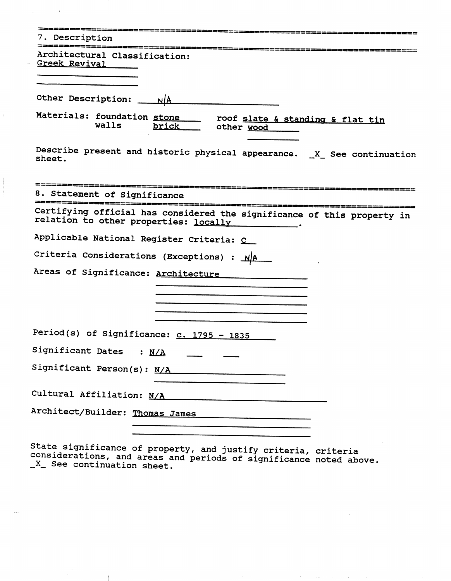| 7. Description                                                                                                   |
|------------------------------------------------------------------------------------------------------------------|
| Architectural Classification:<br>Greek Revival                                                                   |
| Other Description:<br>NlA                                                                                        |
| Materials: foundation stone<br>roof slate & standing & flat tin<br>walls<br>brick<br>other wood                  |
| Describe present and historic physical appearance. _X_ See continuation<br>sheet.                                |
| 8. Statement of Significance                                                                                     |
| Certifying official has considered the significance of this property in<br>relation to other properties: locally |
| Applicable National Register Criteria: C                                                                         |
| Criteria Considerations (Exceptions) : NA                                                                        |
| Areas of Significance: Architecture                                                                              |
|                                                                                                                  |
|                                                                                                                  |
| Period(s) of Significance: c. 1795 - 1835                                                                        |
| Significant Dates<br>: $N/A$                                                                                     |
| Significant Person(s): N/A                                                                                       |
| Cultural Affiliation: N/A                                                                                        |
| Architect/Builder: Thomas James                                                                                  |
|                                                                                                                  |

 $\bar{\gamma}$ 

 $\ddot{\phantom{a}}$ 

State significance of property, and justify criteria, criteria<br>considerations, and areas and periods of significance noted above.<br>\_X\_ See continuation sheet.

 $\blacksquare$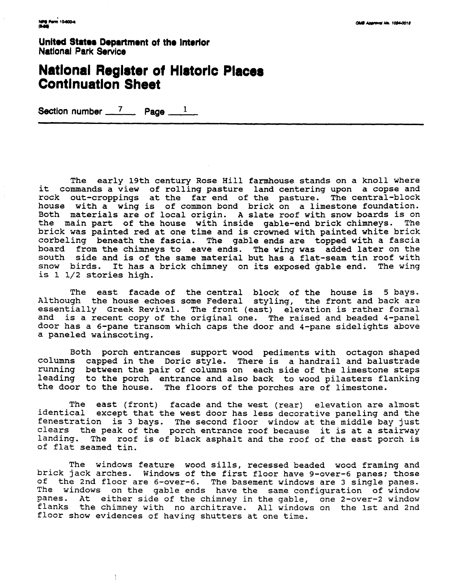United States Department of the interlor **National Park Service** 

## **National Register of Historic Places Continuation Sheet**

Section number 7 **Page** 1

The early 19th century Rose Hill farmhouse stands on a knoll where it commands a view of rolling pasture land centering upon a copse and rock out-croppings at the far end of the pasture. The central-block house with a wing is of common bond brick on a limestone foundation. Both materials are of local origin. A slate roof with snow boards is on the main part of the house with inside gable-end brick chimneys. The brick was painted red at one time and is crowned with painted white brick corbeling beneath the fascia. The gable ends are topped with a fascia board from the chimneys to eave ends. The wing was added later on the south side and is of the same material but has a flat-seam tin roof with snow birds. It has a brick chimney on its exposed gable end. The wing is 1 1/2 stories high.

The east facade of the central block of the house is 5 bays. Although the house echoes some Federal styling, the front and back are essentially Greek Revival. The front (east) elevation is rather formal and is a recent copy of the original one. The raised and beaded 4-panel door has a 6-pane transom which caps the door and 4-pane sidelights above a paneled wainscoting.

Both porch entrances support wood pediments with octagon shaped columns capped in the Doric style. There is a handrail and balustrade running between the pair of columns on each side of the limestone steps leading to the porch entrance and also back to wood pilasters flanking the door to the house. The floors of the porches are of limestone.

The east (front) facade and the west (rear) elevation are almost identical except that the west door has less decorative paneling and the fenestration is 3 bays. The second floor window at the middle bay just clears the peak of the porch entrance roof because it is at a stairway landing. The roof is of black asphalt and the roof of the east porch is of flat seamed tin.

The windows feature wood sills, recessed beaded wood framing and brick jack arches. Windows of the first floor have 9-over-6 panes; those of the 2nd floor are 6-over-6. The basement windows are 3 single panes. The windows on the gable ends have the same configuration of window panes. At either side of the chimney in the gable, one 2-over-2 window flanks the chimney with no architrave. All windows on the 1st and 2nd floor show evidences of having shutters at one time.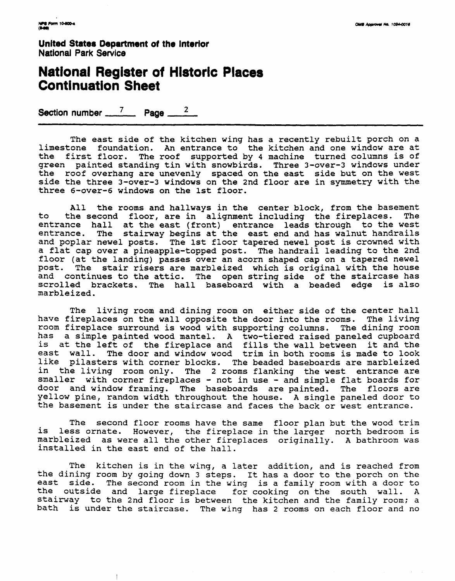**United State8 Department of the Interlor National Park Service** 

### **National Register of Historic Continuation Sheet**

**Section number**  $\frac{7}{2}$  **Page**  $\frac{2}{3}$ 

The east side of the kitchen wing has a recently rebuilt porch on a limestone foundation. An entrance to the kitchen and one window are at the first floor. The roof supported by 4 machine turned columns is of green painted standing tin with snowbirds. Three 3-over-3 windows under the roof overhang are unevenly spaced on the east side but on the west side the three 3-over-3 windows on the 2nd floor are in symmetry with the three 6-over-6 windows on the 1st floor.

All the rooms and hallways in the center block, from the basement<br>the second floor, are in alignment including the fireplaces. The to the second floor, are in alignment including the fireplaces. entrance hall at the east (front) entrance leads through to the west entrance. The stairway begins at the east end and has walnut handrails and poplar newel posts. The 1st floor tapered newel post is crowned with a flat cap over a pineapple-topped post. The handrail leading to the 2nd floor (at the landing) passes over an acorn shaped cap on a tapered newel<br>post. The stair risers are marbleized which is original with the house The stair risers are marbleized which is original with the house and continues to the attic. The open string side of the staircase has scrolled brackets. The hall baseboard with a beaded edge is also marbleized.

The living room and dining room on either side of the center hall have fireplaces on the wall opposite the door into the rooms. The living room fireplace surround is wood with supporting columns. The dining room has a simple painted wood mantel. A two-tiered raised paneled cupboard is at the left of the fireplace and fills the wall between it and the east wall. The door and window wood trim in both rooms is made to look like pilasters with corner blocks. The beaded baseboards are marbleized in the living room only. The 2 rooms flanking the west entrance are smaller with corner fireplaces - not in use - and simple flat boards for door and window framing. The baseboards are painted. The floors are yellow pine, random width throughout the house. A single paneled door to the basement is under the staircase and faces the back or west entrance.

The second floor rooms have the same floor plan but the wood trim is less ornate. However, the fireplace in the larger north bedroom is marbleized as were all the other fireplaces originally. A bathroom was installed in the east end of the hall.

The kitchen is in the wing, a later addition, and is reached from the dining room by going down 3 steps. It has a door to the porch on the east side. The second room in the wing is a family room with a door to the outside and large fireplace for cooking on the south wall. A stairway to the 2nd floor is between the kitchen and the family room; a bath is under the staircase. The wing has 2 rooms on each floor and no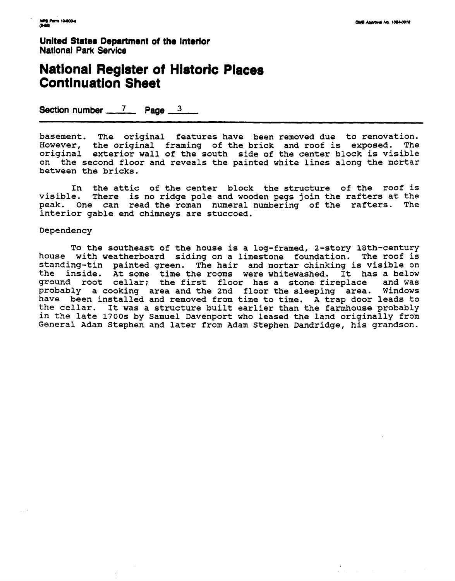**Unlted State8 Department of the Interlor National Park Service** 

### **National Register of Hlstoric Places Continuation Sheet**

**Section number \_\_\_7 Page \_\_3** \_\_\_

basement. The original features have been removed due to renovation. However, the original framing of the brick and roof is exposed. The original exterior wall of the south side of the center block is visible on the second floor and reveals the painted white lines along the mortar between the bricks.

In the attic of the center block the structure of the roof is visible. There is no ridge pole and wooden pegs join the rafters at the peak. One can read the roman numeral numbering of the rafters. The interior gable end chimneys are stuccoed.

#### Dependency

To the southeast of the house is a log-framed, 2-story 18th-century house with weatherboard siding on a limestone foundation. The roof is standing-tin painted green. The hair and mortar chinking is visible on the inside. At some time the rooms were whitewashed. It has a below<br>ground root cellar: the first floor has a stone fireplace and was ground root cellar; the first floor has a stone fireplace probably a cooking area and the 2nd floor the sleeping area. Windows have been installed and removed from time to time. A trap door leads to the cellar. It was a structure built earlier than the farmhouse probably in the late 1700s by Samuel Davenport who leased the land originally from General Adam Stephen and later from Adam Stephen Dandridge, his grandson.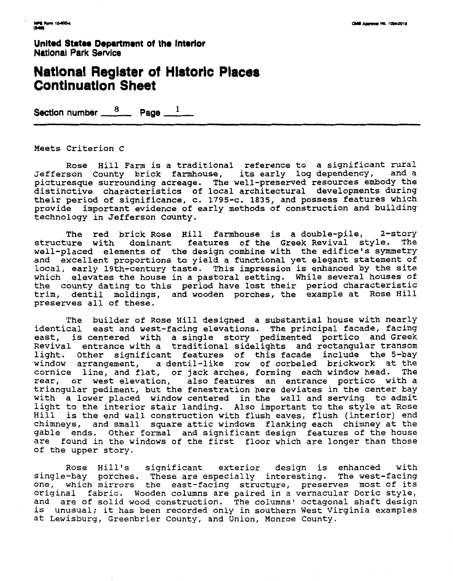United States Department of the **Interlor National Park Service** 

### **National Register of Historic Places Contlnuatlon Sheet**

Section number  $\frac{8}{2}$  Page  $\frac{1}{2}$ 

Meets Criterion C

Rose Hill Farm is a traditional reference to a significant rural Jefferson County brick farmhouse, its early log dependency, and a picturesque surrounding acreage. The well-preserved resources embody the distinctive characteristics of local architectural developments during their period of significance, c. 1795-c. 1835, and possess features which provide important evidence of early methods of construction and building technology in Jefferson County.

The red brick Rose Hill farmhouse is a double-pile, 2-story structure with dominant features of the Greek Revival style. The well-placed elements of the design combine with the edifice's symmetry and excellent proportions to yield a functional yet elegant statement of local, early 19th-century taste. This impression is enhanced by the site which elevates the house in a pastoral setting. While several houses of the county dating to this period have lost their period characteristic trim, dentil moldings, and wooden porches, the example at Rose Hill preserves all of these.

The builder of Rose Hill designed a substantial house with nearly identical east and west-facing elevations. The principal facade, facing east, is centered with a single story pedimented portico and Greek Revival entrance with a traditional sidelights and rectangular transom light. Other significant features of this facade include the 5-bay window arrangement, a dentil-like row of corbeled brickwork at the cornice line, and flat, or jack arches, forming each window head. The rear, or west elevation, also features an entrance portico with a triangular pediment, but the fenestration here deviates in the center bay with a lower placed window centered in the wall and serving to admit light to the interior stair landing. Also important to the style at Rose Hill is the end wall construction with flush eaves, flush (interior) end chimneys, and small square attic windows flanking each chimney at the gable ends. Other formal and significant design features of the house are found in the windows of the first floor which are longer than those of the upper story.

Rose Hill's significant exterior design is enhanced with single-bay porches. These are especially interesting. The west-facing angle suf porthes. These are especially interesting. The west facing<br>me, which mirrors the east-facing structure, preserves most of its original fabric. Wooden columns are paired in a vernacular Doric style, and are of solid wood construction. The columns' octagonal shaft design is unusual: it has been recorded only in southern West Virginia examples at Lewisburg, Greenbrier County, and Union, Monroe County.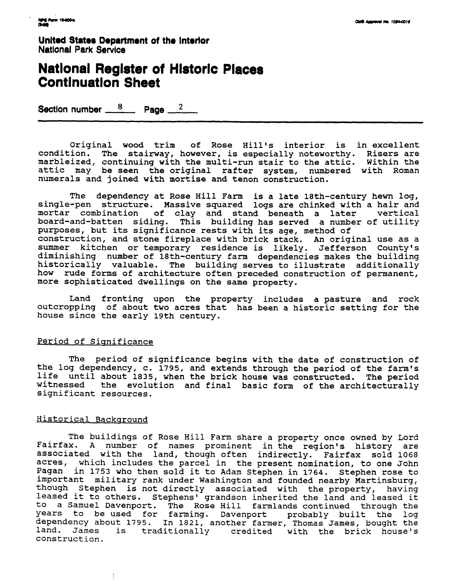**United States Department of the Interior Natlonal Park Service** 

## **National Register of Historic Places Continuation Sheet**

**Section number**  $\frac{8}{2}$  **Page**  $\frac{2}{2}$ 

Original wood trim of Rose Hill's interior is in excellent condition. The stairway, however, is especially noteworthy. Risers are marbleized, continuing with the multi-run stair to the attic. Within the attic may be seen the original rafter system, numbered with Roman numerals and joined with mortise and tenon construction.

The dependency at Rose Hill Farm is a late 18th-century hewn log, single-pen structure. Massive squared logs are chinked with a hair and mortar combination of clay and stand beneath a later board-and-batten siding. This building has served a number of utility purposes, but its significance rests with its age, method of construction, and stone fireplace with brick stack. An original use as a summer kitchen or temporary residence is likely. Jefferson County's diminishing number of 18th-century farm dependencies makes the building historically valuable. The building serves to illustrate additionally how rude forms of architecture often preceded construction of permanent, more sophisticated dwellings on the same property.

Land fronting upon the property includes a pasture and rock outcropping of about two acres that has been a historic setting for the house since the early 19th century.

#### Period of Significance

The period of significance begins with the date of construction of the log dependency, c. 1795, and extends through the period of the farm's life until about 1835, when the brick house was constructed. The period the evolution and final basic form of the architecturally significant resources.

#### Historical Background

 $\frac{1}{2}$ 

The buildings of Rose Hill Farm share a property once owned by Lord Fairfax. A number of names prominent in the region's history are associated with the land, though often indirectly. Fairfax sold 1068 acres, which includes the parcel in the present nomination, to one John Pagan in 1753 who then sold it to Adam Stephen in 1764. Stephen rose to important military rank under Washington and founded nearby Martinsburg, though Stephen is not directly associated with the property, having leased it to others. Stephens' grandson inherited the land and leased it to a Samuel Davenport. The Rose Hill farmlands continued through the years to be used for farming. Davenport probably built the log dependency about 1795. In 1821, another farmer, Thomas James, bought the land. James is traditionally credited with the brick house's construction.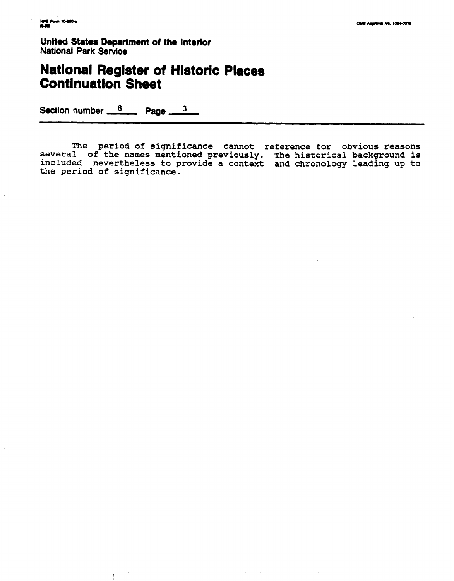**United States Department of the Interior National Park Service** 

# **Natlonal Register of Hlstorlc Places Continuation Sheet**

Section number  $\frac{8}{2}$  Page  $\frac{3}{2}$ 

 $\overline{1}$ 

**The period of significance cannot reference for obvious reasons several of the names mentioned previously. The historical background is included nevertheless to provide a context and chronology leading up to the period of significance.**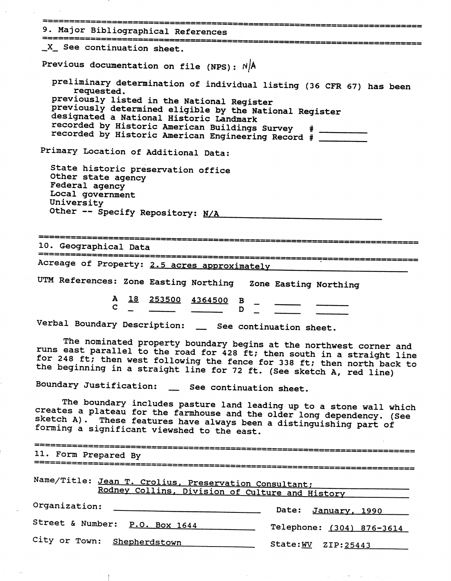|                                                  | 9. Major Bibliographical References                                                                                                                   |                                                                                                                                                                                                                                                                                                                                                                                                                                                                                       |
|--------------------------------------------------|-------------------------------------------------------------------------------------------------------------------------------------------------------|---------------------------------------------------------------------------------------------------------------------------------------------------------------------------------------------------------------------------------------------------------------------------------------------------------------------------------------------------------------------------------------------------------------------------------------------------------------------------------------|
|                                                  | _X_ See continuation sheet.                                                                                                                           |                                                                                                                                                                                                                                                                                                                                                                                                                                                                                       |
|                                                  | Previous documentation on file (NPS): N/A                                                                                                             |                                                                                                                                                                                                                                                                                                                                                                                                                                                                                       |
|                                                  | requested.<br>previously listed in the National Register<br>designated a National Historic Landmark<br>recorded by Historic American Buildings Survey | preliminary determination of individual listing (36 CFR 67) has been<br>previously determined eligible by the National Register<br>recorded by Historic American Engineering Record # _____                                                                                                                                                                                                                                                                                           |
|                                                  | Primary Location of Additional Data:                                                                                                                  |                                                                                                                                                                                                                                                                                                                                                                                                                                                                                       |
| Federal agency<br>Local government<br>University | State historic preservation office<br>Other state agency<br>Other -- Specify Repository: N/A                                                          |                                                                                                                                                                                                                                                                                                                                                                                                                                                                                       |
| 10. Geographical Data                            |                                                                                                                                                       |                                                                                                                                                                                                                                                                                                                                                                                                                                                                                       |
|                                                  |                                                                                                                                                       |                                                                                                                                                                                                                                                                                                                                                                                                                                                                                       |
|                                                  | Acreage of Property: 2.5 acres approximately                                                                                                          |                                                                                                                                                                                                                                                                                                                                                                                                                                                                                       |
|                                                  |                                                                                                                                                       |                                                                                                                                                                                                                                                                                                                                                                                                                                                                                       |
|                                                  | UTM References: Zone Easting Northing                                                                                                                 | Zone Easting Northing                                                                                                                                                                                                                                                                                                                                                                                                                                                                 |
|                                                  | A<br>253500 4364500<br>18                                                                                                                             | B<br>D                                                                                                                                                                                                                                                                                                                                                                                                                                                                                |
|                                                  |                                                                                                                                                       | Verbal Boundary Description: _ See continuation sheet.                                                                                                                                                                                                                                                                                                                                                                                                                                |
|                                                  |                                                                                                                                                       |                                                                                                                                                                                                                                                                                                                                                                                                                                                                                       |
|                                                  |                                                                                                                                                       | the beginning in a straight line for 72 ft. (See sketch A, red line)                                                                                                                                                                                                                                                                                                                                                                                                                  |
|                                                  | Boundary Justification: _ See continuation sheet.<br>forming a significant viewshed to the east.                                                      | sketch A). These features have always been a distinguishing part of                                                                                                                                                                                                                                                                                                                                                                                                                   |
|                                                  |                                                                                                                                                       |                                                                                                                                                                                                                                                                                                                                                                                                                                                                                       |
| 11. Form Prepared By<br>=======================  |                                                                                                                                                       |                                                                                                                                                                                                                                                                                                                                                                                                                                                                                       |
|                                                  | Name/Title: Jean T. Crolius, Preservation Consultant;                                                                                                 |                                                                                                                                                                                                                                                                                                                                                                                                                                                                                       |
| Organization:                                    |                                                                                                                                                       | Rodney Collins, Division of Culture and History                                                                                                                                                                                                                                                                                                                                                                                                                                       |
|                                                  | Street & Number: P.O. Box 1644                                                                                                                        | The nominated property boundary begins at the northwest corner and<br>runs east parallel to the road for 428 ft; then south in a straight line<br>for 248 ft; then west following the fence for 338 ft; then north back to<br>The boundary includes pasture land leading up to a stone wall which<br>creates a plateau for the farmhouse and the older long dependency. (See<br>*===============================<br><b>Date:</b><br><u>January, 1990</u><br>Telephone: (304) 876-3614 |

a construction of the construction of the construction of the construction of the construction of the construction

an an Alba

 $\label{eq:2} \frac{1}{\sqrt{2\pi}}\sum_{i=1}^N\frac{1}{\sqrt{2\pi}}\int_{\mathbb{R}^N}\frac{1}{\sqrt{2\pi}}\frac{1}{\sqrt{2\pi}}\frac{1}{\sqrt{2\pi}}\frac{1}{\sqrt{2\pi}}\frac{1}{\sqrt{2\pi}}\frac{1}{\sqrt{2\pi}}\frac{1}{\sqrt{2\pi}}\frac{1}{\sqrt{2\pi}}\frac{1}{\sqrt{2\pi}}\frac{1}{\sqrt{2\pi}}\frac{1}{\sqrt{2\pi}}\frac{1}{\sqrt{2\pi}}\frac{1}{\sqrt{2\pi}}\frac{1}{\sqrt{2\pi}}\$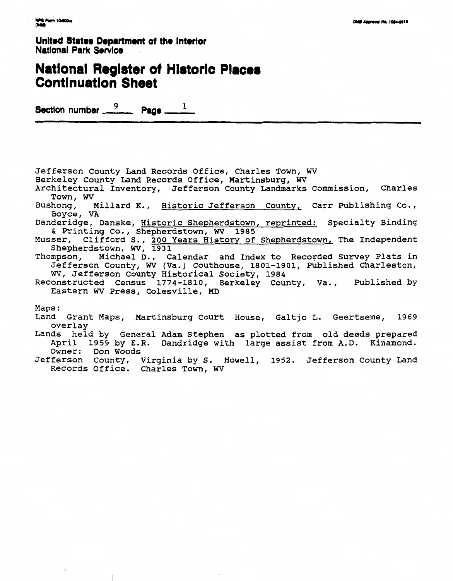United States Department of the Interior **National Park Service** 

### **National Register of Historic Places Continuation Sheet**

Section number 9  $P^{\text{age}}$ 

Jefferson County Land Records Office, Charles Town, WV

- Berkeley County Land Records Office, Martinsburg, WV
- Architectural Inventory, Jefferson County Landmarks Commission, Charles Town, WV
- Bushong, Millard K., Historic Jefferson County, Carr Publishing Co., Boyce, VA
- Danderidge, Danske, Historic Shepherdstown, reprinted: Specialty Binding & Printing Co., Shepherdstown, WV 1985
- Musser, Clifford S., 200 Years History of Shepherdstown, The Independent Shepherdstown, WV, 1931
- Michael D., Calendar and Index to Recorded Survey Plats in Thompson, Jefferson County, WV (Va.) Couthouse, 1801-1901, Published Charleston, WV, Jefferson County Historical Society, 1984
- Reconstructed Census 1774-1810, Berkeley County, Va., Published by Eastern WV Press, Colesville, MD

Maps:

- Land Grant Maps, Martinsburg Court House, Galtjo L. Geertseme, 1969 overlay
- Lands held by General Adam Stephen as plotted from old deeds prepared April 1959 by E.R. Dandridge with large assist from A.D. Kinamond. Owner: Don Woods
- Jefferson County, Virginia by S. Howell, 1952. Jefferson County Land<br>Records Office. Charles Town, WV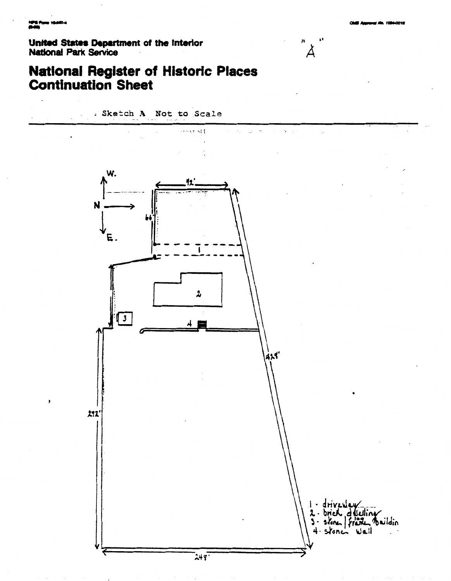Ϫ

**United States Department of the Interior National Park Service** 



. Sketch A Not to Scale

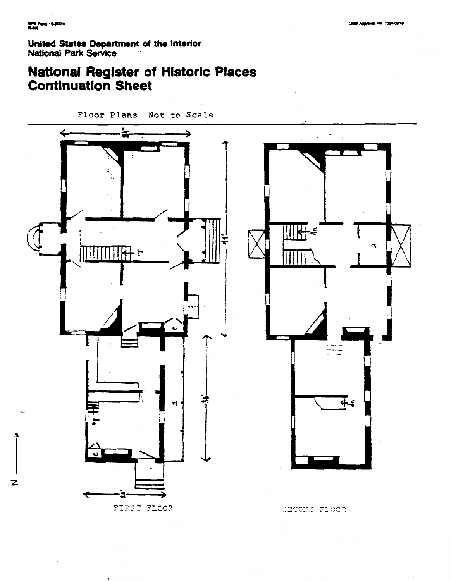2

**United States Department of the Interior National Park Service** 

# **National Register of Historic Places Continuation Sheet**

**Floor Plans Not to Scale** 



FIRST FLOOR

CECOND FIOCR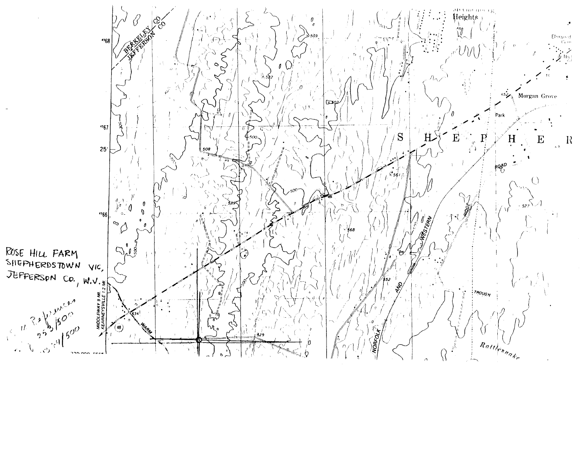